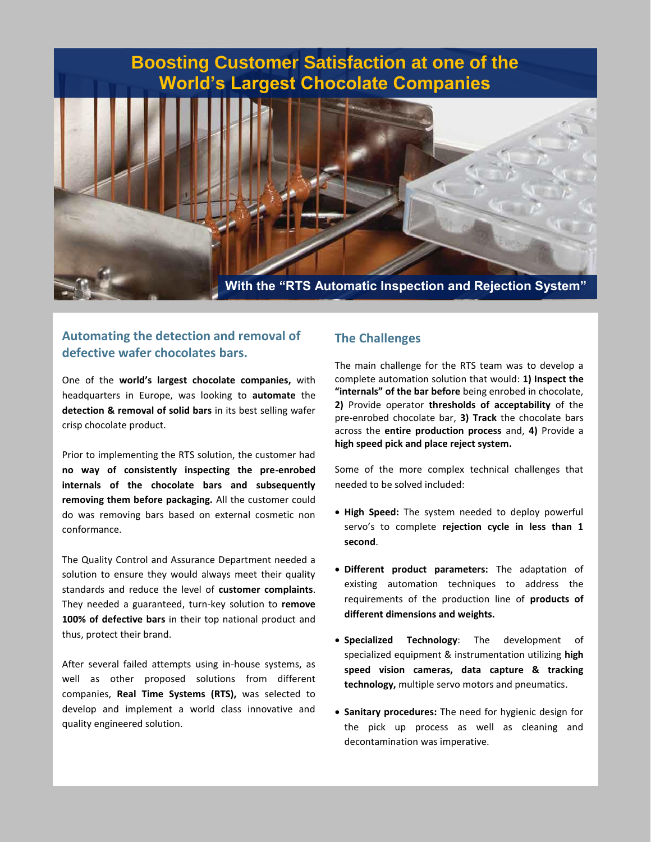# **Boosting Customer Satisfaction at one of the World's Largest Chocolate Companies**



### **Automating the detection and removal of defective wafer chocolates bars.**

One of the **world's largest chocolate companies,** with headquarters in Europe, was looking to **automate** the **detection & removal of solid bars** in its best selling wafer crisp chocolate product.

Prior to implementing the RTS solution, the customer had **no way of consistently inspecting the pre-enrobed internals of the chocolate bars and subsequently removing them before packaging.** All the customer could do was removing bars based on external cosmetic non conformance.

The Quality Control and Assurance Department needed a solution to ensure they would always meet their quality standards and reduce the level of **customer complaints**. They needed a guaranteed, turn-key solution to **remove 100% of defective bars** in their top national product and thus, protect their brand.

After several failed attempts using in-house systems, as well as other proposed solutions from different companies, **Real Time Systems (RTS),** was selected to develop and implement a world class innovative and quality engineered solution.

#### **The Challenges**

The main challenge for the RTS team was to develop a complete automation solution that would: **1) Inspect the "internals" of the bar before** being enrobed in chocolate, **2)** Provide operator **thresholds of acceptability** of the pre-enrobed chocolate bar, **3) Track** the chocolate bars across the **entire production process** and, **4)** Provide a **high speed pick and place reject system.**

Some of the more complex technical challenges that needed to be solved included:

- **High Speed:** The system needed to deploy powerful servo's to complete **rejection cycle in less than 1 second**.
- **Different product parameters:** The adaptation of existing automation techniques to address the requirements of the production line of **products of different dimensions and weights.**
- **Specialized Technology**: The development of specialized equipment & instrumentation utilizing **high speed vision cameras, data capture & tracking technology,** multiple servo motors and pneumatics.
- **Sanitary procedures:** The need for hygienic design for the pick up process as well as cleaning and decontamination was imperative.